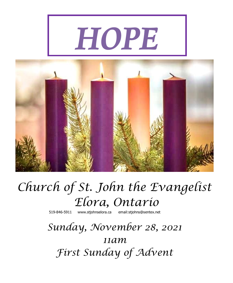# *HOPE*



## *Church of St. John the Evangelist Elora, Ontario*

519-846-5911 [www.stjohnselora.ca email:stjohns@sentex.net](http://www.stjohnselora.ca%20%20%20%20%20%20email:stjohns@sentex.net)

*Sunday, November 28, 2021 11am First Sunday of Advent*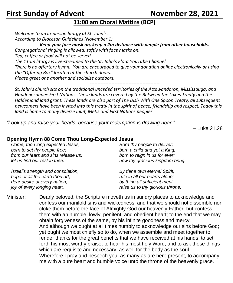### **First Sunday of Advent November 28, 2021**

*raise us to thy glorious throne.*

#### **11:00 am Choral Mattins (BCP)**

*Welcome to an in-person liturgy at St. John's. According to Diocesan Guidelines (November 1)* 

 *Keep your face mask on, keep a 2m distance with people from other households.*

*Congregational singing is allowed, softly with face masks on.*

*Tea, coffee or food will not be served.*

*The 11am liturgy is live-streamed to the St. John's Elora YouTube Channel.*

*There is no offertory hymn. You are encouraged to give your donation online electronically or using the "Offering Box" located at the church doors.*

*Please greet one another and socialize outdoors.*

*---------------------------------------------* 

*St. John's church sits on the traditional unceded territories of the Attawandaron, Mississauga, and Haudenosaunee First Nations. These lands are covered by the Between the Lakes Treaty and the Haldemand land grant. These lands are also part of The Dish With One Spoon Treaty, all subsequent newcomers have been invited into this treaty in the spirit of peace, friendship and respect. Today this land is home to many diverse Inuit, Metis and First Nations peoples.*

*"Look up and raise your heads, because your redemption is drawing near."*

– Luke 21.28

#### **Opening Hymn 88 Come Thou Long-Expected Jesus**

*joy of every longing heart.*

*Come, thou long expected Jesus, born to set thy people free; from our fears and sins release us; let us find our rest in thee. Israel's strength and consolation, hope of all the earth thou art; dear desire of every nation, Born thy people to deliver; born a child and yet a King; born to reign in us for ever: now thy gracious kingdom bring. By thine own eternal Spirit, rule in all our hearts alone; by thine all sufficient merit,*

Minister: Dearly beloved, the Scripture moveth us in sundry places to acknowledge and confess our manifold sins and wickedness; and that we should not dissemble nor cloke them before the face of Almighty God our heavenly Father; but confess them with an humble, lowly, penitent, and obedient heart; to the end that we may obtain forgiveness of the same, by his infinite goodness and mercy. And although we ought at all times humbly to acknowledge our sins before God; yet ought we most chiefly so to do, when we assemble and meet together to render thanks for the great benefits that we have received at his hands, to set forth his most worthy praise, to hear his most holy Word, and to ask those things which are requisite and necessary, as well for the body as the soul. Wherefore I pray and beseech you, as many as are here present, to accompany me with a pure heart and humble voice unto the throne of the heavenly grace.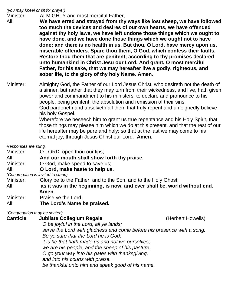#### *(you may kneel or sit for prayer)*

Minister: ALMIGHTY and most merciful Father,

All: **We have erred and strayed from thy ways like lost sheep, we have followed too much the devices and desires of our own hearts, we have offended against thy holy laws, we have left undone those things which we ought to have done, and we have done those things which we ought not to have done; and there is no health in us. But thou, O Lord, have mercy upon us, miserable offenders. Spare thou them, O God, which confess their faults. Restore thou them that are penitent; according to thy promises declared unto humankind in Christ Jesu our Lord. And grant, O most merciful Father, for his sake, that we may hereafter live a godly, righteous, and sober life, to the glory of thy holy Name. Amen.**

Minister: Almighty God, the Father of our Lord Jesus Christ, who desireth not the death of a sinner, but rather that they may turn from their wickedness, and live, hath given power and commandment to his ministers, to declare and pronounce to his people, being penitent, the absolution and remission of their sins. God pardoneth and absolveth all them that truly repent and unfeignedly believe his holy Gospel. Wherefore we beseech him to grant us true repentance and his Holy Spirit, that

those things may please him which we do at this present, and that the rest of our life hereafter may be pure and holy; so that at the last we may come to his eternal joy; through Jesus Christ our Lord. **Amen.**

*Responses are sung.*

Minister: **O LORD**, open thou our lips;

All: **And our mouth shall show forth thy praise.**

Minister: O God, make speed to save us;

All: **O Lord, make haste to help us.**

*(Congregation is invited to stand)*

Minister: Glory be to the Father, and to the Son, and to the Holy Ghost;

All: **as it was in the beginning, is now, and ever shall be, world without end. Amen.**

- Minister: Praise ye the Lord;
- All: **The Lord's Name be praised.**

*(Congregation may be seated)*

| <b>Canticle</b> | <b>Jubilate Collegium Regale</b>                                       | (Herbert Howells) |
|-----------------|------------------------------------------------------------------------|-------------------|
|                 | O be joyful in the Lord, all ye lands;                                 |                   |
|                 | serve the Lord with gladness and come before his presence with a song. |                   |
|                 | Be ye sure that the Lord he is God:                                    |                   |
|                 | it is he that hath made us and not we ourselves;                       |                   |
|                 | we are his people, and the sheep of his pasture.                       |                   |
|                 | O go your way into his gates with thanksgiving,                        |                   |
|                 | and into his courts with praise.                                       |                   |
|                 | be thankful unto him and speak good of his name.                       |                   |
|                 |                                                                        |                   |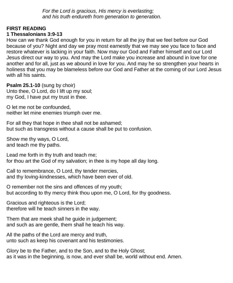*For the Lord is gracious, His mercy is everlasting; and his truth endureth from generation to generation.*

#### **FIRST READING**

#### **1 Thessalonians 3:9-13**

How can we thank God enough for you in return for all the joy that we feel before our God because of you? Night and day we pray most earnestly that we may see you face to face and restore whatever is lacking in your faith. Now may our God and Father himself and our Lord Jesus direct our way to you. And may the Lord make you increase and abound in love for one another and for all, just as we abound in love for you. And may he so strengthen your hearts in holiness that you may be blameless before our God and Father at the coming of our Lord Jesus with all his saints.

**Psalm 25.1-10** (sung by choir)

Unto thee, O Lord, do I lift up my soul; my God, I have put my trust in thee.

O let me not be confounded, neither let mine enemies triumph over me.

For all they that hope in thee shall not be ashamed; but such as transgress without a cause shall be put to confusion.

Show me thy ways, O Lord, and teach me thy paths.

Lead me forth in thy truth and teach me; for thou art the God of my salvation; in thee is my hope all day long.

Call to remembrance, O Lord, thy tender mercies, and thy loving-kindnesses, which have been ever of old.

O remember not the sins and offences of my youth; but according to thy mercy think thou upon me, O Lord, for thy goodness.

Gracious and righteous is the Lord; therefore will he teach sinners in the way.

Them that are meek shall he guide in judgement; and such as are gentle, them shall he teach his way.

All the paths of the Lord are mercy and truth, unto such as keep his covenant and his testimonies.

Glory be to the Father, and to the Son, and to the Holy Ghost; as it was in the beginning, is now, and ever shall be, world without end. Amen.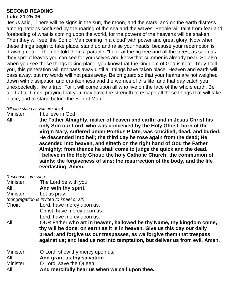#### **SECOND READING Luke 21:25-36**

Jesus said, "There will be signs in the sun, the moon, and the stars, and on the earth distress among nations confused by the roaring of the sea and the waves. People will faint from fear and foreboding of what is coming upon the world, for the powers of the heavens will be shaken. Then they will see 'the Son of Man coming in a cloud' with power and great glory. Now when these things begin to take place, stand up and raise your heads, because your redemption is drawing near." Then he told them a parable: "Look at the fig tree and all the trees; as soon as they sprout leaves you can see for yourselves and know that summer is already near. So also, when you see these things taking place, you know that the kingdom of God is near. Truly I tell you, this generation will not pass away until all things have taken place. Heaven and earth will pass away, but my words will not pass away. Be on guard so that your hearts are not weighed down with dissipation and drunkenness and the worries of this life, and that day catch you unexpectedly, like a trap. For it will come upon all who live on the face of the whole earth. Be alert at all times, praying that you may have the strength to escape all these things that will take place, and to stand before the Son of Man."

#### *(Please stand as you are able)*

Minister: I believe in God

All: **the Father Almighty, maker of heaven and earth: and in Jesus Christ his only Son our Lord, who was conceived by the Holy Ghost, born of the Virgin Mary, suffered under Pontius Pilate, was crucified, dead, and buried: He descended into hell; the third day he rose again from the dead; He ascended into heaven, and sitteth on the right hand of God the Father Almighty; from thence he shall come to judge the quick and the dead. I believe in the Holy Ghost; the holy Catholic Church; the communion of saints; the forgiveness of sins; the resurrection of the body, and the life everlasting. Amen.**

| Responses are sung. |                                                                              |  |  |  |
|---------------------|------------------------------------------------------------------------------|--|--|--|
|                     | Minister: The Lord be with you;                                              |  |  |  |
| All:                | And with thy spirit.                                                         |  |  |  |
| Minister.           | Let us pray.                                                                 |  |  |  |
|                     | (congregation is invited to kneel or sit)                                    |  |  |  |
| Choir:              | Lord, have mercy upon us.                                                    |  |  |  |
|                     | Christ, have mercy upon us.                                                  |  |  |  |
|                     | Lord, have mercy upon us.                                                    |  |  |  |
| All:                | OUR Father who art in heaven, hallowed be thy Name, thy kingdom come,        |  |  |  |
|                     | thy will be done, on earth as it is in heaven. Give us this day our daily    |  |  |  |
|                     | bread; and forgive us our trespasses, as we forgive them that trespass       |  |  |  |
|                     | against us; and lead us not into temptation, but deliver us from evil. Amen. |  |  |  |
| Minister:           | O Lord, show thy mercy upon us;                                              |  |  |  |
| All:                | And grant us thy salvation.                                                  |  |  |  |
| Minister:           | O Lord, save the Queen;                                                      |  |  |  |
| All:                | And mercifully hear us when we call upon thee.                               |  |  |  |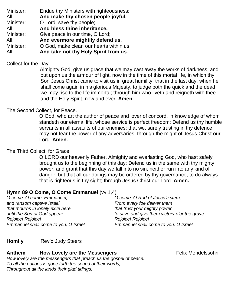Minister: Endue thy Ministers with righteousness; All: **And make thy chosen people joyful.** Minister: O Lord, save thy people; All: **And bless thine inheritance.** Minister: Give peace in our time, O Lord; All: **And evermore mightily defend us.** Minister: **O God, make clean our hearts within us;** All: **And take not thy Holy Spirit from us.**

#### Collect for the Day

Almighty God, give us grace that we may cast away the works of darkness, and put upon us the armour of light, now in the time of this mortal life, in which thy Son Jesus Christ came to visit us in great humility; that in the last day, when he shall come again in his glorious Majesty, to judge both the quick and the dead, we may rise to the life immortal; through him who liveth and reigneth with thee and the Holy Spirit, now and ever. **Amen.**

#### The Second Collect, for Peace.

O God, who art the author of peace and lover of concord, in knowledge of whom standeth our eternal life, whose service is perfect freedom: Defend us thy humble servants in all assaults of our enemies; that we, surely trusting in thy defence, may not fear the power of any adversaries; through the might of Jesus Christ our Lord. **Amen.**

#### The Third Collect, for Grace.

O LORD our heavenly Father, Almighty and everlasting God, who hast safely brought us to the beginning of this day: Defend us in the same with thy mighty power; and grant that this day we fall into no sin, neither run into any kind of danger; but that all our doings may be ordered by thy governance, to do always that is righteous in thy sight; through Jesus Christ our Lord. **Amen.**

#### **Hymn 89 O Come, O Come Emmanuel** (vv 1,4)

| O come, O Rod of Jesse's stem,               |
|----------------------------------------------|
| From every foe deliver them                  |
| that trust your mighty power                 |
| to save and give them victory o'er the grave |
| Rejoice! Rejoice!                            |
| Emmanuel shall come to you, O Israel.        |
|                                              |

#### **Homily** Rev'd Judy Steers

#### **Anthem How Lovely are the Messengers Example 20 Felix Mendelssohn**

*How lovely are the messengers that preach us the gospel of peace. To all the nations is gone forth the sound of their words, Throughout all the lands their glad tidings.*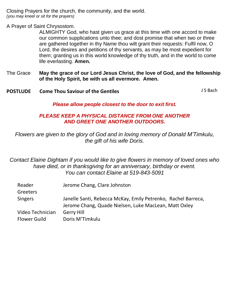Closing Prayers for the church, the community, and the world. *(you may kneel or sit for the prayers)*

A Prayer of Saint Chrysostom.

ALMIGHTY God, who hast given us grace at this time with one accord to make our common supplications unto thee; and dost promise that when two or three are gathered together in thy Name thou wilt grant their requests: Fulfil now, O Lord, the desires and petitions of thy servants, as may be most expedient for them; granting us in this world knowledge of thy truth, and in the world to come life everlasting. **Amen.**

- The Grace **May the grace of our Lord Jesus Christ, the love of God, and the fellowship of the Holy Spirit, be with us all evermore. Amen.**
- **POSTLUDE** Come Thou Saviour of the Gentiles **South American** Superior of the Season of the Gentiles

*Please allow people closest to the door to exit first.*

#### *PLEASE KEEP A PHYSICAL DISTANCE FROM ONE ANOTHER AND GREET ONE ANOTHER OUTDOORS.*

*Flowers are given to the glory of God and in loving memory of Donald M'Timkulu, the gift of his wife Doris.*

*Contact Elaine Dightam if you would like to give flowers in memory of loved ones who have died, or in thanksgiving for an anniversary, birthday or event. You can contact Elaine at 519-843-5091*

| Reader<br>Greeters               | Jerome Chang, Clare Johnston                                                                                           |
|----------------------------------|------------------------------------------------------------------------------------------------------------------------|
| <b>Singers</b>                   | Janelle Santi, Rebecca McKay, Emily Petrenko, Rachel Barreca,<br>Jerome Chang, Quade Nielsen, Luke MacLean, Matt Oxley |
| Video Technician<br>Flower Guild | Gerry Hill<br>Doris M'Timkulu                                                                                          |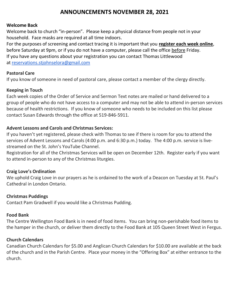#### **ANNOUNCEMENTS NOVEMBER 28, 2021**

#### **Welcome Back**

Welcome back to church "in-person". Please keep a physical distance from people not in your household. Face masks are required at all time indoors.

For the purposes of screening and contact tracing it is important that you **register each week online**, before Saturday at 9pm, or if you do not have a computer, please call the office before Friday. If you have any questions about your registration you can contact Thomas Littlewood at [reservations.stjohnselora@gmail.com](mailto:reservations.stjohnselora@gmail.com)

#### **Pastoral Care**

If you know of someone in need of pastoral care, please contact a member of the clergy directly.

#### **Keeping in Touch**

Each week copies of the Order of Service and Sermon Text notes are mailed or hand delivered to a group of people who do not have access to a computer and may not be able to attend in-person services because of health restrictions. If you know of someone who needs to be included on this list please contact Susan Edwards through the office at 519-846-5911.

#### **Advent Lessons and Carols and Christmas Services:**

If you haven't yet registered, please check with Thomas to see if there is room for you to attend the services of Advent Lessons and Carols (4:00 p.m. and 6:30 p.m.) today. The 4:00 p.m. service is livestreamed on the St. John's YouTube Channel.

Registration for all of the Christmas Services will be open on December 12th. Register early if you want to attend in-person to any of the Christmas liturgies.

#### **Craig Love's Ordination**

We uphold Craig Love in our prayers as he is ordained to the work of a Deacon on Tuesday at St. Paul's Cathedral in London Ontario.

#### **Christmas Puddings**

Contact Pam Gradwell if you would like a Christmas Pudding.

#### **Food Bank**

The Centre Wellington Food Bank is in need of food items. You can bring non-perishable food items to the hamper in the church, or deliver them directly to the Food Bank at 105 Queen Street West in Fergus.

#### **Church Calendars**

Canadian Church Calendars for \$5.00 and Anglican Church Calendars for \$10.00 are available at the back of the church and in the Parish Centre. Place your money in the "Offering Box" at either entrance to the church.